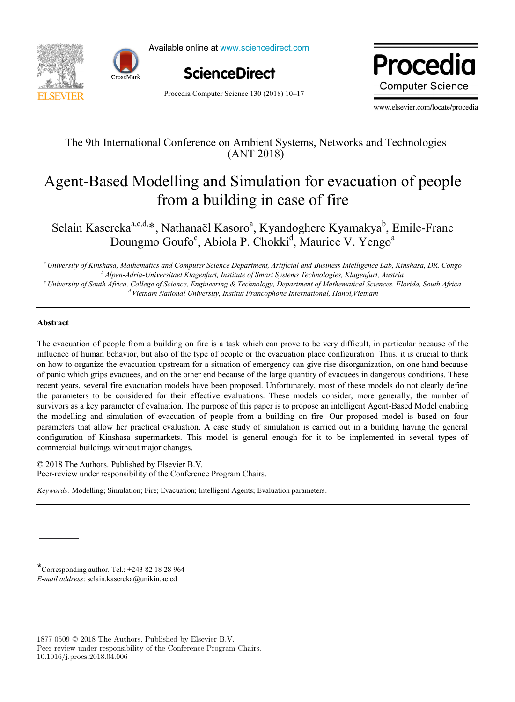



Available online at www.sciencedirect.com



Procedia Computer Science 130 (2018) 10-17

Procedia **Computer Science** 

www.elsevier.com/locate/procediate/procediate/procediate/procediate/procediate/

# $T_{\text{S}}$  9th International Conference on American Systems,  $\frac{1}{2}$ The 9th International Conference on Ambient Systems, Networks and Technologies (ANT 2018)

# Agent-Based Modelling and Simulation for evacuation of people from a building in case of fire Agent-Based Modelling and Simulation for evacuation of people from a building in case of fire

# $S = \begin{bmatrix} 1 & \mathbf{i} & \mathbf{j} & \mathbf{k} \\ 0 & \mathbf{i} & \mathbf{j} & \mathbf{k} \\ 0 & \mathbf{i} & \mathbf{j} & \mathbf{k} \end{bmatrix}$ Selain Kasereka<sup>a,c,d,\*</sup>, Nathanaël Kasoro<sup>a</sup>, Kyandoghere Kyamakya<sup>b</sup>, Emile-Franc Doungmo Goufo<sup>c</sup>, Abiola P. Chokki<sup>d</sup>, Maurice V. Yengo<sup>a</sup>

a University of Kinshasa, Mathematics and Computer Science Department, Artificial and Business Intelligence Lab, Kinshasa, DR. Congo  $^b$  Alpen-Adria-Universitaet Klagenfurt, Institute of Smart Systems Technologies, Klagenfurt, Austria <sup>c</sup> University of South Africa, College of Science, Engineering & Technology, Department of Mathematical Sciences, Florida, South Africa <sup>d</sup> Vietnam National University, Institut Francophone International, Hanoi, Vietnam

# **Abstract**

The evacuation of people from a building on fire is a task which can prove to be very difficult, in particular because of the influence of human behavior, but also of the type of people or the evacuation place configuration. Thus, it is crucial to think on how to organize the evacuation upstream for a situation of emergency can give rise disorganization, on one hand because of panic which grips evacuees, and on the other end because of the large quantity of evacuees in dangerous conditions. These recent years, several fire evacuation models have been proposed. Unfortunately, most of these models do not clearly define the parameters to be considered for their effective evaluations. These models consider, more generally, the number of survivors as a key parameter of evaluation. The purpose of this paper is to propose an intelligent Agent-Based Model enabling the modelling and simulation of evacuation of people from a building on fire. Our proposed model is based on four parameters that allow her practical evaluation. A case study of simulation is carried out in a building having the general configuration of Kinshasa supermarkets. This model is general enough for it to be implemented in several types of commercial buildings without major changes.

© 2018 The Authors. Published by Elsevier B.V. © 2018 The Authors. Published by Elsevier B.V. Peer-review under responsibility of the Conference Program Chairs. Peer-review under responsibility of the Conference Program Chairs. © 2018 The Authors. Published by Elsevier B.V. Peer-review under responsibility of the Conference Program Chairs.

*Keywords:* Modelling; Simulation; Fire; Evacuation; Intelligent Agents; Evaluation parameters. *Keywords:* Modelling; Simulation; Fire; Evacuation; Intelligent Agents; Evaluation parameters.

\*Corresponding author. Tel.: +243 82 18 28 <sup>964</sup> E-mail address: selain.kasereka@unikin.ac.cd

1877-0509 © 2018 The Authors. Published by Elsevier B.V. Peer-review under responsibility of the Conference Program Chairs. 10.1016/j.procs.2018.04.006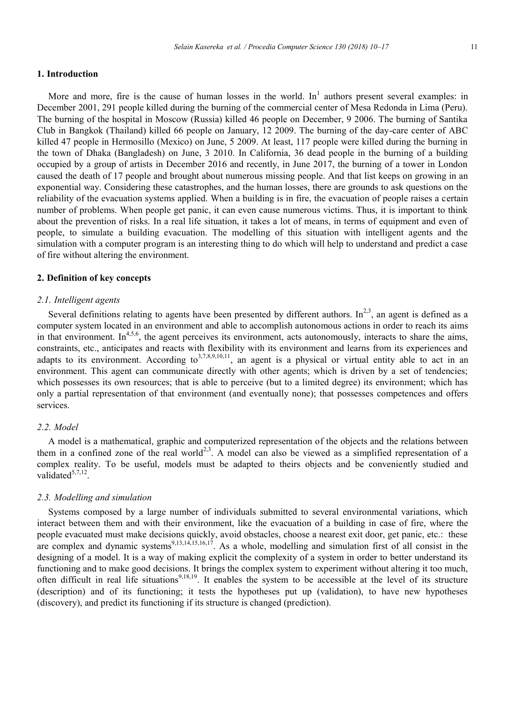#### **1. Introduction**

More and more, fire is the cause of human losses in the world. In<sup>1</sup> authors present several examples: in December 2001, 291 people killed during the burning of the commercial center of Mesa Redonda in Lima (Peru). The burning of the hospital in Moscow (Russia) killed 46 people on December, 9 2006. The burning of Santika Club in Bangkok (Thailand) killed 66 people on January, 12 2009. The burning of the day-care center of ABC killed 47 people in Hermosillo (Mexico) on June, 5 2009. At least, 117 people were killed during the burning in the town of Dhaka (Bangladesh) on June, 3 2010. In California, 36 dead people in the burning of a building occupied by a group of artists in December 2016 and recently, in June 2017, the burning of a tower in London caused the death of 17 people and brought about numerous missing people. And that list keeps on growing in an exponential way. Considering these catastrophes, and the human losses, there are grounds to ask questions on the reliability of the evacuation systems applied. When a building is in fire, the evacuation of people raises a certain number of problems. When people get panic, it can even cause numerous victims. Thus, it is important to think about the prevention of risks. In a real life situation, it takes a lot of means, in terms of equipment and even of people, to simulate a building evacuation. The modelling of this situation with intelligent agents and the simulation with a computer program is an interesting thing to do which will help to understand and predict a case of fire without altering the environment.

# **2. Definition of key concepts**

# *2.1. Intelligent agents*

Several definitions relating to agents have been presented by different authors.  $In<sup>2,3</sup>$ , an agent is defined as a computer system located in an environment and able to accomplish autonomous actions in order to reach its aims in that environment. In<sup>4,5,6</sup>, the agent perceives its environment, acts autonomously, interacts to share the aims, constraints, etc., anticipates and reacts with flexibility with its environment and learns from its experiences and adapts to its environment. According to  $3,7,8,9,10,11$ , an agent is a physical or virtual entity able to act in an environment. This agent can communicate directly with other agents; which is driven by a set of tendencies; which possesses its own resources; that is able to perceive (but to a limited degree) its environment; which has only a partial representation of that environment (and eventually none); that possesses competences and offers services.

# *2.2. Model*

A model is a mathematical, graphic and computerized representation of the objects and the relations between them in a confined zone of the real world<sup>2,3</sup>. A model can also be viewed as a simplified representation of a complex reality. To be useful, models must be adapted to theirs objects and be conveniently studied and validated $5,7,12$ .

#### *2.3. Modelling and simulation*

Systems composed by a large number of individuals submitted to several environmental variations, which interact between them and with their environment, like the evacuation of a building in case of fire, where the people evacuated must make decisions quickly, avoid obstacles, choose a nearest exit door, get panic, etc.: these are complex and dynamic systems<sup>9,13,14,15,16,17</sup>. As a whole, modelling and simulation first of all consist in the designing of a model. It is a way of making explicit the complexity of a system in order to better understand its functioning and to make good decisions. It brings the complex system to experiment without altering it too much, often difficult in real life situations<sup>9,18,19</sup>. It enables the system to be accessible at the level of its structure (description) and of its functioning; it tests the hypotheses put up (validation), to have new hypotheses (discovery), and predict its functioning if its structure is changed (prediction).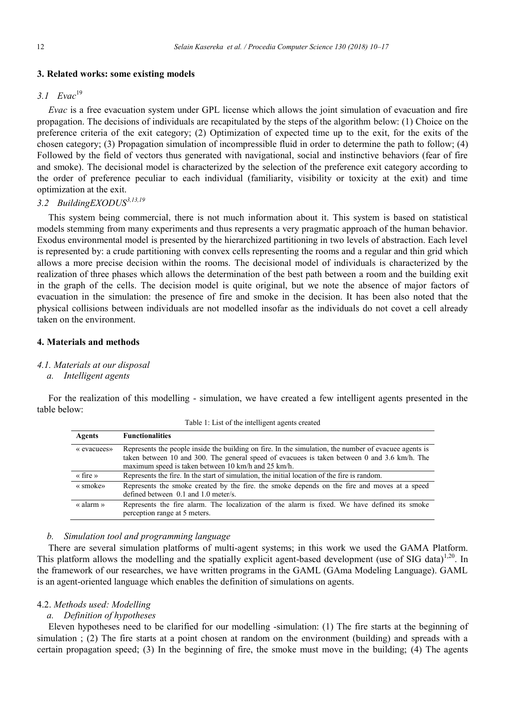# **3. Related works: some existing models**

# *3.1 Evac*<sup>19</sup>

*Evac* is a free evacuation system under GPL license which allows the joint simulation of evacuation and fire propagation. The decisions of individuals are recapitulated by the steps of the algorithm below: (1) Choice on the preference criteria of the exit category; (2) Optimization of expected time up to the exit, for the exits of the chosen category; (3) Propagation simulation of incompressible fluid in order to determine the path to follow; (4) Followed by the field of vectors thus generated with navigational, social and instinctive behaviors (fear of fire and smoke). The decisional model is characterized by the selection of the preference exit category according to the order of preference peculiar to each individual (familiarity, visibility or toxicity at the exit) and time optimization at the exit.

# *3.2 BuildingEXODUS3,13,19*

This system being commercial, there is not much information about it. This system is based on statistical models stemming from many experiments and thus represents a very pragmatic approach of the human behavior. Exodus environmental model is presented by the hierarchized partitioning in two levels of abstraction. Each level is represented by: a crude partitioning with convex cells representing the rooms and a regular and thin grid which allows a more precise decision within the rooms. The decisional model of individuals is characterized by the realization of three phases which allows the determination of the best path between a room and the building exit in the graph of the cells. The decision model is quite original, but we note the absence of major factors of evacuation in the simulation: the presence of fire and smoke in the decision. It has been also noted that the physical collisions between individuals are not modelled insofar as the individuals do not covet a cell already taken on the environment.

# **4. Materials and methods**

# *4.1. Materials at our disposal*

*a. Intelligent agents*

For the realization of this modelling - simulation, we have created a few intelligent agents presented in the table below:

| Agents                  | <b>Functionalities</b>                                                                                                                                                                                                                                      |
|-------------------------|-------------------------------------------------------------------------------------------------------------------------------------------------------------------------------------------------------------------------------------------------------------|
| « evacuees»             | Represents the people inside the building on fire. In the simulation, the number of evacue agents is<br>taken between 10 and 300. The general speed of evacuees is taken between 0 and 3.6 km/h. The<br>maximum speed is taken between 10 km/h and 25 km/h. |
| $\kappa$ fire »         | Represents the fire. In the start of simulation, the initial location of the fire is random.                                                                                                                                                                |
| « smoke»                | Represents the smoke created by the fire, the smoke depends on the fire and moves at a speed<br>defined between 0.1 and 1.0 meter/s.                                                                                                                        |
| $\alpha$ alarm $\alpha$ | Represents the fire alarm. The localization of the alarm is fixed. We have defined its smoke<br>perception range at 5 meters.                                                                                                                               |

Table 1: List of the intelligent agents created

# *b. Simulation tool and programming language*

There are several simulation platforms of multi-agent systems; in this work we used the GAMA Platform. This platform allows the modelling and the spatially explicit agent-based development (use of SIG data)<sup>1,20</sup>. In the framework of our researches, we have written programs in the GAML (GAma Modeling Language). GAML is an agent-oriented language which enables the definition of simulations on agents.

# 4.2. *Methods used: Modelling*

# *a. Definition of hypotheses*

Eleven hypotheses need to be clarified for our modelling -simulation: (1) The fire starts at the beginning of simulation ; (2) The fire starts at a point chosen at random on the environment (building) and spreads with a certain propagation speed; (3) In the beginning of fire, the smoke must move in the building; (4) The agents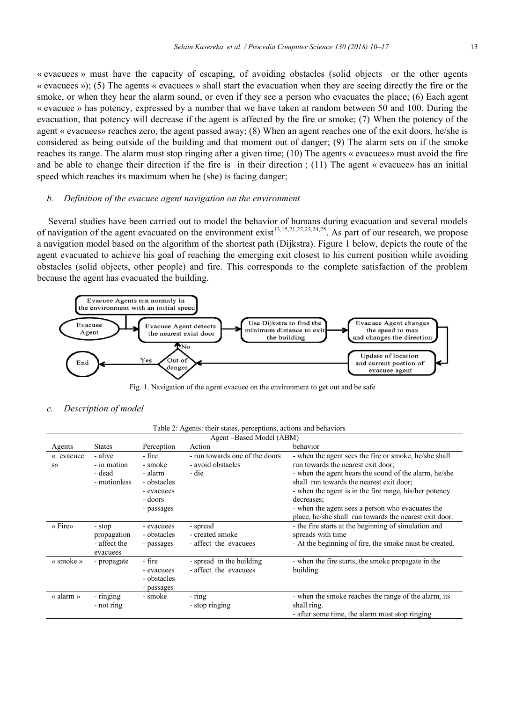« evacuees » must have the capacity of escaping, of avoiding obstacles (solid objects or the other agents « evacuees »); (5) The agents « evacuees » shall start the evacuation when they are seeing directly the fire or the smoke, or when they hear the alarm sound, or even if they see a person who evacuates the place; (6) Each agent « evacuee » has potency, expressed by a number that we have taken at random between 50 and 100. During the evacuation, that potency will decrease if the agent is affected by the fire or smoke; (7) When the potency of the agent « evacuees» reaches zero, the agent passed away; (8) When an agent reaches one of the exit doors, he/she is considered as being outside of the building and that moment out of danger; (9) The alarm sets on if the smoke reaches its range. The alarm must stop ringing after a given time; (10) The agents « evacuees» must avoid the fire and be able to change their direction if the fire is in their direction ; (11) The agent « evacuee» has an initial speed which reaches its maximum when he (she) is facing danger;

# *b. Definition of the evacuee agent navigation on the environment*

Several studies have been carried out to model the behavior of humans during evacuation and several models of navigation of the agent evacuated on the environment exist<sup>13,15,21,22,23,24,25</sup>. As part of our research, we propose a navigation model based on the algorithm of the shortest path (Dijkstra). Figure 1 below, depicts the route of the agent evacuated to achieve his goal of reaching the emerging exit closest to his current position while avoiding obstacles (solid objects, other people) and fire. This corresponds to the complete satisfaction of the problem because the agent has evacuated the building.



Fig. 1. Navigation of the agent evacuee on the environment to get out and be safe

*c. Description of model*

| Table 2: Agents: their states, perceptions, actions and behaviors |  |  |  |
|-------------------------------------------------------------------|--|--|--|
|-------------------------------------------------------------------|--|--|--|

| Agent -Based Model (ABM)                 |               |             |                                |                                                        |  |
|------------------------------------------|---------------|-------------|--------------------------------|--------------------------------------------------------|--|
| Agents                                   | <b>States</b> | Perception  | Action                         | behavior                                               |  |
| « evacuee                                | - alive       | - fire      | - run towards one of the doors | - when the agent sees the fire or smoke, he/she shall  |  |
| $S\rangle$                               | - in motion   | - smoke     | - avoid obstacles              | run towards the nearest exit door;                     |  |
|                                          | - dead        | - alarm     | - die                          | - when the agent hears the sound of the alarm, he/she  |  |
|                                          | - motionless  | - obstacles |                                | shall run towards the nearest exit door;               |  |
|                                          |               | - evacuees  |                                | - when the agent is in the fire range, his/her potency |  |
|                                          |               | - doors     |                                | decreases:                                             |  |
|                                          |               | - passages  |                                | - when the agent sees a person who evacuates the       |  |
|                                          |               |             |                                | place, he/she shall run towards the nearest exit door. |  |
| $\langle$ Fire $\rangle$                 | - stop        | - evacuees  | - spread                       | - the fire starts at the beginning of simulation and   |  |
|                                          | propagation   | - obstacles | - created smoke                | spreads with time                                      |  |
|                                          | - affect the  | - passages  | - affect the evacuees          | - At the beginning of fire, the smoke must be created. |  |
|                                          | evacuees      |             |                                |                                                        |  |
| $\langle\langle\$ smoke $\rangle\rangle$ | - propagate   | - fire      | - spread in the building       | - when the fire starts, the smoke propagate in the     |  |
|                                          |               | - evacuees  | - affect the evacuees          | building.                                              |  |
|                                          |               | - obstacles |                                |                                                        |  |
|                                          |               | - passages  |                                |                                                        |  |
| « alarm »                                | - ringing     | - smoke     | - ring                         | - when the smoke reaches the range of the alarm, its   |  |
|                                          | - not ring    |             | - stop ringing                 | shall ring.                                            |  |
|                                          |               |             |                                | - after some time, the alarm must stop ringing         |  |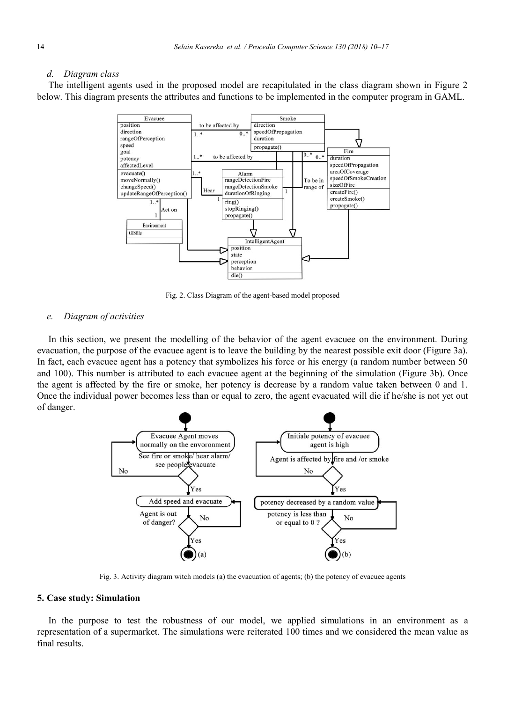# *d. Diagram class*

The intelligent agents used in the proposed model are recapitulated in the class diagram shown in Figure 2 below. This diagram presents the attributes and functions to be implemented in the computer program in GAML.



Fig. 2. Class Diagram of the agent-based model proposed

# *e. Diagram of activities*

In this section, we present the modelling of the behavior of the agent evacuee on the environment. During evacuation, the purpose of the evacuee agent is to leave the building by the nearest possible exit door (Figure 3a). In fact, each evacuee agent has a potency that symbolizes his force or his energy (a random number between 50 and 100). This number is attributed to each evacuee agent at the beginning of the simulation (Figure 3b). Once the agent is affected by the fire or smoke, her potency is decrease by a random value taken between 0 and 1. Once the individual power becomes less than or equal to zero, the agent evacuated will die if he/she is not yet out of danger.



Fig. 3. Activity diagram witch models (a) the evacuation of agents; (b) the potency of evacuee agents

# **5. Case study: Simulation**

In the purpose to test the robustness of our model, we applied simulations in an environment as a representation of a supermarket. The simulations were reiterated 100 times and we considered the mean value as final results.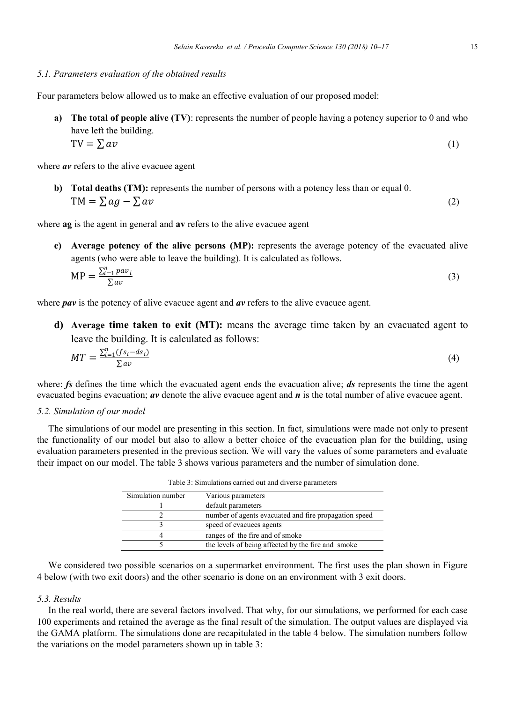# *5.1. Parameters evaluation of the obtained results*

Four parameters below allowed us to make an effective evaluation of our proposed model:

**a) The total of people alive (TV)**: represents the number of people having a potency superior to 0 and who have left the building.

$$
TV = \sum av
$$
 (1)

where *av* refers to the alive evacuee agent

**b) Total deaths (TM):** represents the number of persons with a potency less than or equal 0.  $TM = \sum aq - \sum av$  (2)

where **ag** is the agent in general and **av** refers to the alive evacuee agent

**c) Average potency of the alive persons (MP):** represents the average potency of the evacuated alive agents (who were able to leave the building). It is calculated as follows.

$$
MP = \frac{\sum_{i=1}^{n} p a v_i}{\sum a v}
$$
 (3)

where  $\boldsymbol{p}$  is the potency of alive evacuee agent and  $\boldsymbol{a}$  refers to the alive evacuee agent.

**d) Average time taken to exit (MT):** means the average time taken by an evacuated agent to leave the building. It is calculated as follows:

$$
MT = \frac{\sum_{i=1}^{n} (fs_i - ds_i)}{\sum av} \tag{4}
$$

where: *fs* defines the time which the evacuated agent ends the evacuation alive; *ds* represents the time the agent evacuated begins evacuation; *av* denote the alive evacuee agent and *n* is the total number of alive evacuee agent.

#### *5.2. Simulation of our model*

The simulations of our model are presenting in this section. In fact, simulations were made not only to present the functionality of our model but also to allow a better choice of the evacuation plan for the building, using evaluation parameters presented in the previous section. We will vary the values of some parameters and evaluate their impact on our model. The table 3 shows various parameters and the number of simulation done.

| Simulation number | Various parameters                                    |
|-------------------|-------------------------------------------------------|
|                   | default parameters                                    |
|                   | number of agents evacuated and fire propagation speed |
|                   | speed of evacuees agents                              |
|                   | ranges of the fire and of smoke                       |
|                   | the levels of being affected by the fire and smoke    |

Table 3: Simulations carried out and diverse parameters

We considered two possible scenarios on a supermarket environment. The first uses the plan shown in Figure 4 below (with two exit doors) and the other scenario is done on an environment with 3 exit doors.

# *5.3. Results*

In the real world, there are several factors involved. That why, for our simulations, we performed for each case 100 experiments and retained the average as the final result of the simulation. The output values are displayed via the GAMA platform. The simulations done are recapitulated in the table 4 below. The simulation numbers follow the variations on the model parameters shown up in table 3: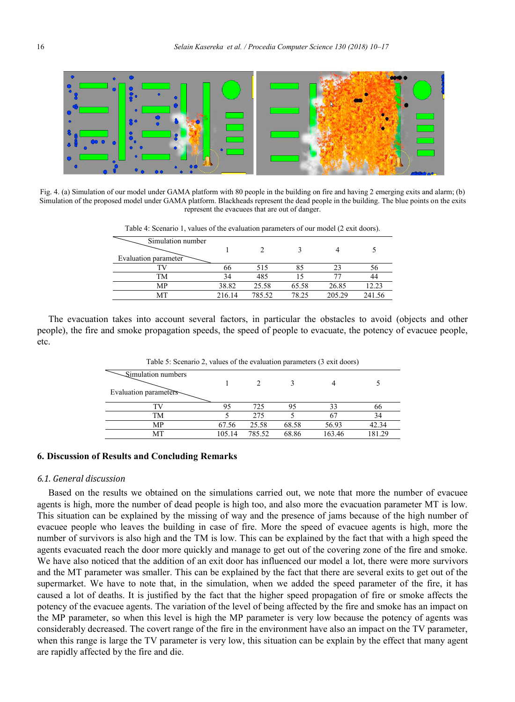

Fig. 4. (a) Simulation of our model under GAMA platform with 80 people in the building on fire and having 2 emerging exits and alarm; (b) Simulation of the proposed model under GAMA platform. Blackheads represent the dead people in the building. The blue points on the exits represent the evacuees that are out of danger.

| Fable 4. Secritario 1, values of the evaluation parameters of our model (2 exit doors). |        |        |       |        |        |
|-----------------------------------------------------------------------------------------|--------|--------|-------|--------|--------|
| Simulation number                                                                       |        |        |       |        |        |
|                                                                                         |        |        |       |        |        |
| Evaluation parameter                                                                    |        |        |       |        |        |
|                                                                                         | 66     | 515    | 85    | 23     | 56     |
| <b>TM</b>                                                                               | 34     | 485    |       |        | 44     |
| МP                                                                                      | 38.82  | 25.58  | 65.58 | 26.85  | 12.23  |
| MТ                                                                                      | 216.14 | 785.52 | 78.25 | 205.29 | 241.56 |

Table 4: Scenario 1, values of the evaluation parameters of our model (2 exit doors).

The evacuation takes into account several factors, in particular the obstacles to avoid (objects and other people), the fire and smoke propagation speeds, the speed of people to evacuate, the potency of evacuee people, etc.

| Table 5: Scenario 2, values of the evaluation parameters (3 exit doors) |        |        |       |        |        |  |
|-------------------------------------------------------------------------|--------|--------|-------|--------|--------|--|
| Simulation numbers                                                      |        |        |       |        |        |  |
|                                                                         |        |        |       |        |        |  |
| Evaluation parameters                                                   |        |        |       |        |        |  |
|                                                                         |        |        |       |        |        |  |
|                                                                         | 95     | 725    | 95    | 33     | 66     |  |
| TM                                                                      |        | 275    |       |        | 34     |  |
| MP                                                                      | 67.56  | 25.58  | 68.58 | 56.93  | 42.34  |  |
| MТ                                                                      | 105.14 | 785.52 | 68.86 | 163.46 | 181.29 |  |

# **6. Discussion of Results and Concluding Remarks**

# *6.1. General discussion*

Based on the results we obtained on the simulations carried out, we note that more the number of evacuee agents is high, more the number of dead people is high too, and also more the evacuation parameter MT is low. This situation can be explained by the missing of way and the presence of jams because of the high number of evacuee people who leaves the building in case of fire. More the speed of evacuee agents is high, more the number of survivors is also high and the TM is low. This can be explained by the fact that with a high speed the agents evacuated reach the door more quickly and manage to get out of the covering zone of the fire and smoke. We have also noticed that the addition of an exit door has influenced our model a lot, there were more survivors and the MT parameter was smaller. This can be explained by the fact that there are several exits to get out of the supermarket. We have to note that, in the simulation, when we added the speed parameter of the fire, it has caused a lot of deaths. It is justified by the fact that the higher speed propagation of fire or smoke affects the potency of the evacuee agents. The variation of the level of being affected by the fire and smoke has an impact on the MP parameter, so when this level is high the MP parameter is very low because the potency of agents was considerably decreased. The covert range of the fire in the environment have also an impact on the TV parameter, when this range is large the TV parameter is very low, this situation can be explain by the effect that many agent are rapidly affected by the fire and die.